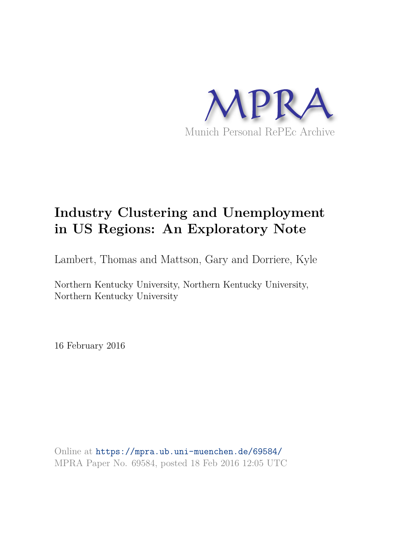

# **Industry Clustering and Unemployment in US Regions: An Exploratory Note**

Lambert, Thomas and Mattson, Gary and Dorriere, Kyle

Northern Kentucky University, Northern Kentucky University, Northern Kentucky University

16 February 2016

Online at https://mpra.ub.uni-muenchen.de/69584/ MPRA Paper No. 69584, posted 18 Feb 2016 12:05 UTC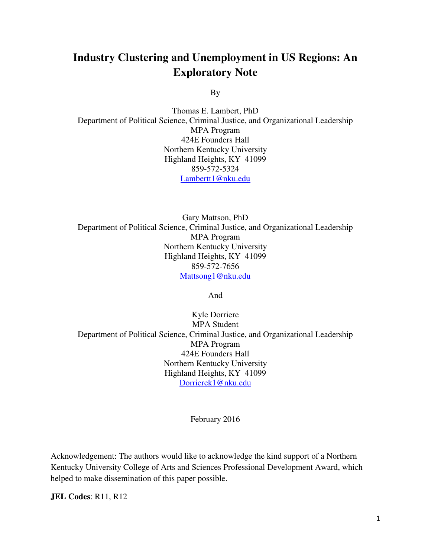## **Industry Clustering and Unemployment in US Regions: An Exploratory Note**

By

Thomas E. Lambert, PhD Department of Political Science, Criminal Justice, and Organizational Leadership MPA Program 424E Founders Hall Northern Kentucky University Highland Heights, KY 41099 859-572-5324 [Lambertt1@nku.edu](mailto:Lambertt1@nku.edu)

Gary Mattson, PhD Department of Political Science, Criminal Justice, and Organizational Leadership MPA Program Northern Kentucky University Highland Heights, KY 41099 859-572-7656 [Mattsong1@nku.edu](mailto:Mattsong1@nku.edu)

And

Kyle Dorriere MPA Student Department of Political Science, Criminal Justice, and Organizational Leadership MPA Program 424E Founders Hall Northern Kentucky University Highland Heights, KY 41099 [Dorrierek1@nku.edu](mailto:Dorrierek1@nku.edu)

February 2016

Acknowledgement: The authors would like to acknowledge the kind support of a Northern Kentucky University College of Arts and Sciences Professional Development Award, which helped to make dissemination of this paper possible.

**JEL Codes**: R11, R12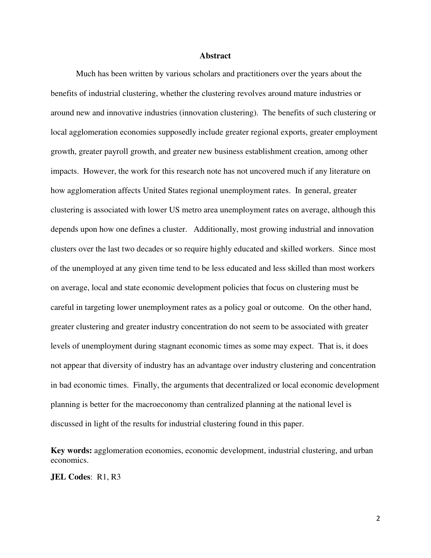#### **Abstract**

 Much has been written by various scholars and practitioners over the years about the benefits of industrial clustering, whether the clustering revolves around mature industries or around new and innovative industries (innovation clustering). The benefits of such clustering or local agglomeration economies supposedly include greater regional exports, greater employment growth, greater payroll growth, and greater new business establishment creation, among other impacts. However, the work for this research note has not uncovered much if any literature on how agglomeration affects United States regional unemployment rates. In general, greater clustering is associated with lower US metro area unemployment rates on average, although this depends upon how one defines a cluster. Additionally, most growing industrial and innovation clusters over the last two decades or so require highly educated and skilled workers. Since most of the unemployed at any given time tend to be less educated and less skilled than most workers on average, local and state economic development policies that focus on clustering must be careful in targeting lower unemployment rates as a policy goal or outcome. On the other hand, greater clustering and greater industry concentration do not seem to be associated with greater levels of unemployment during stagnant economic times as some may expect. That is, it does not appear that diversity of industry has an advantage over industry clustering and concentration in bad economic times. Finally, the arguments that decentralized or local economic development planning is better for the macroeconomy than centralized planning at the national level is discussed in light of the results for industrial clustering found in this paper.

**Key words:** agglomeration economies, economic development, industrial clustering, and urban economics.

**JEL Codes**: R1, R3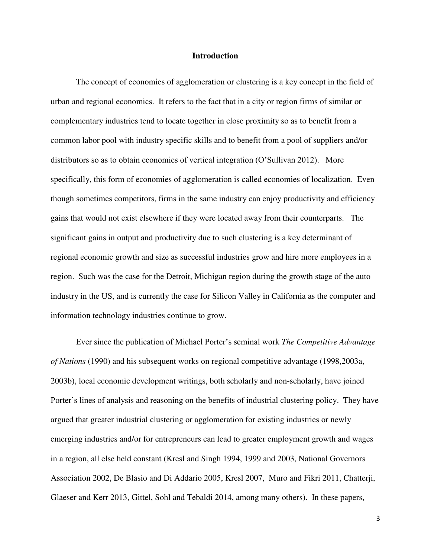#### **Introduction**

 The concept of economies of agglomeration or clustering is a key concept in the field of urban and regional economics. It refers to the fact that in a city or region firms of similar or complementary industries tend to locate together in close proximity so as to benefit from a common labor pool with industry specific skills and to benefit from a pool of suppliers and/or distributors so as to obtain economies of vertical integration (O'Sullivan 2012). More specifically, this form of economies of agglomeration is called economies of localization. Even though sometimes competitors, firms in the same industry can enjoy productivity and efficiency gains that would not exist elsewhere if they were located away from their counterparts. The significant gains in output and productivity due to such clustering is a key determinant of regional economic growth and size as successful industries grow and hire more employees in a region. Such was the case for the Detroit, Michigan region during the growth stage of the auto industry in the US, and is currently the case for Silicon Valley in California as the computer and information technology industries continue to grow.

Ever since the publication of Michael Porter's seminal work *The Competitive Advantage of Nations* (1990) and his subsequent works on regional competitive advantage (1998,2003a, 2003b), local economic development writings, both scholarly and non-scholarly, have joined Porter's lines of analysis and reasoning on the benefits of industrial clustering policy. They have argued that greater industrial clustering or agglomeration for existing industries or newly emerging industries and/or for entrepreneurs can lead to greater employment growth and wages in a region, all else held constant (Kresl and Singh 1994, 1999 and 2003, National Governors Association 2002, De Blasio and Di Addario 2005, Kresl 2007, Muro and Fikri 2011, Chatterji, Glaeser and Kerr 2013, Gittel, Sohl and Tebaldi 2014, among many others). In these papers,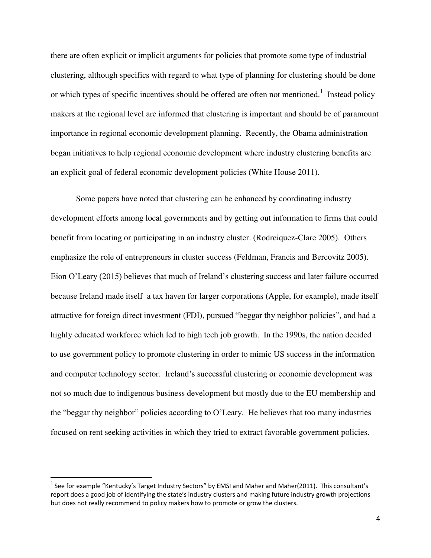there are often explicit or implicit arguments for policies that promote some type of industrial clustering, although specifics with regard to what type of planning for clustering should be done or which types of specific incentives should be offered are often not mentioned.<sup>1</sup> Instead policy makers at the regional level are informed that clustering is important and should be of paramount importance in regional economic development planning. Recently, the Obama administration began initiatives to help regional economic development where industry clustering benefits are an explicit goal of federal economic development policies (White House 2011).

 Some papers have noted that clustering can be enhanced by coordinating industry development efforts among local governments and by getting out information to firms that could benefit from locating or participating in an industry cluster. (Rodreiquez-Clare 2005). Others emphasize the role of entrepreneurs in cluster success (Feldman, Francis and Bercovitz 2005). Eion O'Leary (2015) believes that much of Ireland's clustering success and later failure occurred because Ireland made itself a tax haven for larger corporations (Apple, for example), made itself attractive for foreign direct investment (FDI), pursued "beggar thy neighbor policies", and had a highly educated workforce which led to high tech job growth. In the 1990s, the nation decided to use government policy to promote clustering in order to mimic US success in the information and computer technology sector. Ireland's successful clustering or economic development was not so much due to indigenous business development but mostly due to the EU membership and the "beggar thy neighbor" policies according to O'Leary. He believes that too many industries focused on rent seeking activities in which they tried to extract favorable government policies.

<sup>&</sup>lt;sup>1</sup> See for example "Kentucky's Target Industry Sectors" by EMSI and Maher and Maher(2011). This consultant's report does a good job of identifying the state's industry clusters and making future industry growth projections but does not really recommend to policy makers how to promote or grow the clusters.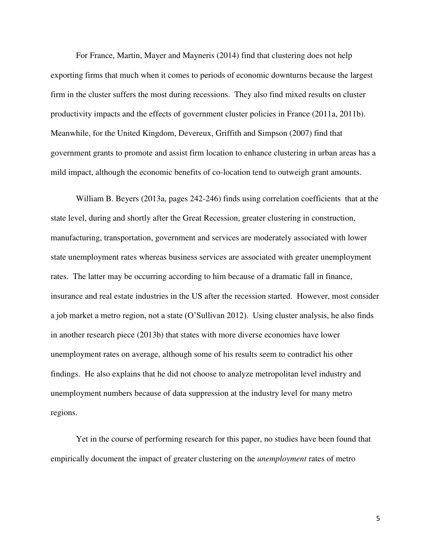For France, Martin, Mayer and Mayneris (2014) find that clustering does not help exporting firms that much when it comes to periods of economic downturns because the largest firm in the cluster suffers the most during recessions. They also find mixed results on cluster productivity impacts and the effects of government cluster policies in France (2011a, 2011b). Meanwhile, for the United Kingdom, Devereux, Griffith and Simpson (2007) find that government grants to promote and assist firm location to enhance clustering in urban areas has a mild impact, although the economic benefits of co-location tend to outweigh grant amounts.

 William B. Beyers (2013a, pages 242-246) finds using correlation coefficients that at the state level, during and shortly after the Great Recession, greater clustering in construction, manufacturing, transportation, government and services are moderately associated with lower state unemployment rates whereas business services are associated with greater unemployment rates. The latter may be occurring according to him because of a dramatic fall in finance, insurance and real estate industries in the US after the recession started. However, most consider a job market a metro region, not a state (O'Sullivan 2012). Using cluster analysis, he also finds in another research piece (2013b) that states with more diverse economies have lower unemployment rates on average, although some of his results seem to contradict his other findings. He also explains that he did not choose to analyze metropolitan level industry and unemployment numbers because of data suppression at the industry level for many metro regions.

Yet in the course of performing research for this paper, no studies have been found that empirically document the impact of greater clustering on the *unemployment* rates of metro

5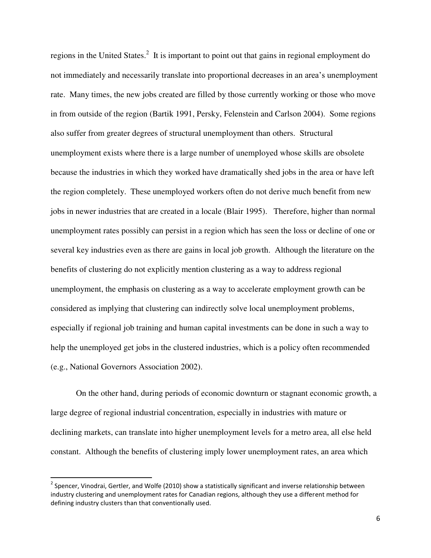regions in the United States.<sup>2</sup> It is important to point out that gains in regional employment do not immediately and necessarily translate into proportional decreases in an area's unemployment rate. Many times, the new jobs created are filled by those currently working or those who move in from outside of the region (Bartik 1991, Persky, Felenstein and Carlson 2004). Some regions also suffer from greater degrees of structural unemployment than others. Structural unemployment exists where there is a large number of unemployed whose skills are obsolete because the industries in which they worked have dramatically shed jobs in the area or have left the region completely. These unemployed workers often do not derive much benefit from new jobs in newer industries that are created in a locale (Blair 1995). Therefore, higher than normal unemployment rates possibly can persist in a region which has seen the loss or decline of one or several key industries even as there are gains in local job growth. Although the literature on the benefits of clustering do not explicitly mention clustering as a way to address regional unemployment, the emphasis on clustering as a way to accelerate employment growth can be considered as implying that clustering can indirectly solve local unemployment problems, especially if regional job training and human capital investments can be done in such a way to help the unemployed get jobs in the clustered industries, which is a policy often recommended (e.g., National Governors Association 2002).

On the other hand, during periods of economic downturn or stagnant economic growth, a large degree of regional industrial concentration, especially in industries with mature or declining markets, can translate into higher unemployment levels for a metro area, all else held constant. Although the benefits of clustering imply lower unemployment rates, an area which

<sup>&</sup>lt;sup>2</sup> Spencer, Vinodrai, Gertler, and Wolfe (2010) show a statistically significant and inverse relationship between industry clustering and unemployment rates for Canadian regions, although they use a different method for defining industry clusters than that conventionally used.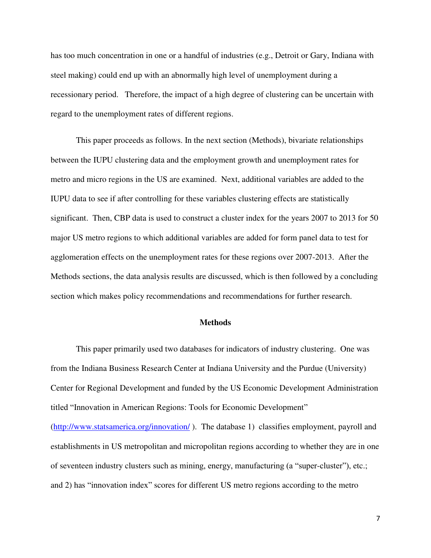has too much concentration in one or a handful of industries (e.g., Detroit or Gary, Indiana with steel making) could end up with an abnormally high level of unemployment during a recessionary period. Therefore, the impact of a high degree of clustering can be uncertain with regard to the unemployment rates of different regions.

This paper proceeds as follows. In the next section (Methods), bivariate relationships between the IUPU clustering data and the employment growth and unemployment rates for metro and micro regions in the US are examined. Next, additional variables are added to the IUPU data to see if after controlling for these variables clustering effects are statistically significant. Then, CBP data is used to construct a cluster index for the years 2007 to 2013 for 50 major US metro regions to which additional variables are added for form panel data to test for agglomeration effects on the unemployment rates for these regions over 2007-2013. After the Methods sections, the data analysis results are discussed, which is then followed by a concluding section which makes policy recommendations and recommendations for further research.

#### **Methods**

 This paper primarily used two databases for indicators of industry clustering. One was from the Indiana Business Research Center at Indiana University and the Purdue (University) Center for Regional Development and funded by the US Economic Development Administration titled "Innovation in American Regions: Tools for Economic Development" [\(http://www.statsamerica.org/innovation/](http://www.statsamerica.org/innovation/) ). The database 1) classifies employment, payroll and establishments in US metropolitan and micropolitan regions according to whether they are in one of seventeen industry clusters such as mining, energy, manufacturing (a "super-cluster"), etc.; and 2) has "innovation index" scores for different US metro regions according to the metro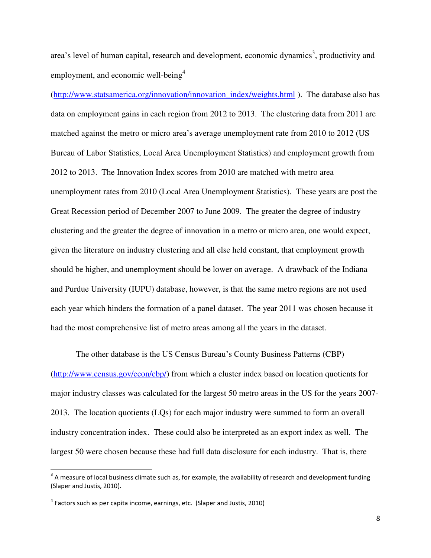area's level of human capital, research and development, economic dynamics<sup>3</sup>, productivity and employment, and economic well-being<sup>4</sup>

[\(http://www.statsamerica.org/innovation/innovation\\_index/weights.html](http://www.statsamerica.org/innovation/innovation_index/weights.html) ). The database also has data on employment gains in each region from 2012 to 2013. The clustering data from 2011 are matched against the metro or micro area's average unemployment rate from 2010 to 2012 (US Bureau of Labor Statistics, Local Area Unemployment Statistics) and employment growth from 2012 to 2013. The Innovation Index scores from 2010 are matched with metro area unemployment rates from 2010 (Local Area Unemployment Statistics). These years are post the Great Recession period of December 2007 to June 2009. The greater the degree of industry clustering and the greater the degree of innovation in a metro or micro area, one would expect, given the literature on industry clustering and all else held constant, that employment growth should be higher, and unemployment should be lower on average. A drawback of the Indiana and Purdue University (IUPU) database, however, is that the same metro regions are not used each year which hinders the formation of a panel dataset. The year 2011 was chosen because it had the most comprehensive list of metro areas among all the years in the dataset.

 The other database is the US Census Bureau's County Business Patterns (CBP) [\(http://www.census.gov/econ/cbp/\)](http://www.census.gov/econ/cbp/) from which a cluster index based on location quotients for major industry classes was calculated for the largest 50 metro areas in the US for the years 2007- 2013. The location quotients (LQs) for each major industry were summed to form an overall industry concentration index. These could also be interpreted as an export index as well. The largest 50 were chosen because these had full data disclosure for each industry. That is, there

 $\overline{a}$ 

 $3$  A measure of local business climate such as, for example, the availability of research and development funding (Slaper and Justis, 2010).

 $<sup>4</sup>$  Factors such as per capita income, earnings, etc. (Slaper and Justis, 2010)</sup>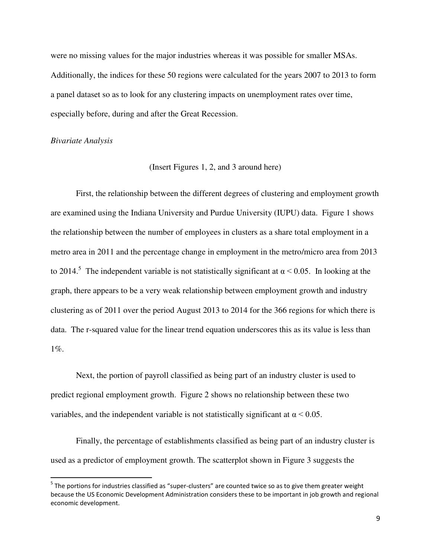were no missing values for the major industries whereas it was possible for smaller MSAs. Additionally, the indices for these 50 regions were calculated for the years 2007 to 2013 to form a panel dataset so as to look for any clustering impacts on unemployment rates over time, especially before, during and after the Great Recession.

#### *Bivariate Analysis*

l

#### (Insert Figures 1, 2, and 3 around here)

 First, the relationship between the different degrees of clustering and employment growth are examined using the Indiana University and Purdue University (IUPU) data. Figure 1 shows the relationship between the number of employees in clusters as a share total employment in a metro area in 2011 and the percentage change in employment in the metro/micro area from 2013 to 2014.<sup>5</sup> The independent variable is not statistically significant at  $\alpha$  < 0.05. In looking at the graph, there appears to be a very weak relationship between employment growth and industry clustering as of 2011 over the period August 2013 to 2014 for the 366 regions for which there is data. The r-squared value for the linear trend equation underscores this as its value is less than 1%.

 Next, the portion of payroll classified as being part of an industry cluster is used to predict regional employment growth. Figure 2 shows no relationship between these two variables, and the independent variable is not statistically significant at  $\alpha$  < 0.05.

 Finally, the percentage of establishments classified as being part of an industry cluster is used as a predictor of employment growth. The scatterplot shown in Figure 3 suggests the

 $^5$  The portions for industries classified as "super-clusters" are counted twice so as to give them greater weight because the US Economic Development Administration considers these to be important in job growth and regional economic development.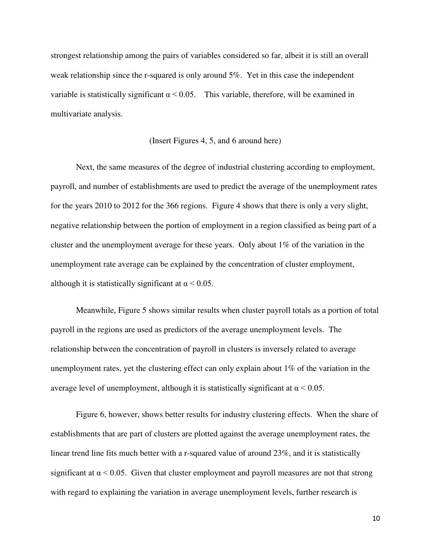strongest relationship among the pairs of variables considered so far, albeit it is still an overall weak relationship since the r-squared is only around 5%. Yet in this case the independent variable is statistically significant  $\alpha$  < 0.05. This variable, therefore, will be examined in multivariate analysis.

#### (Insert Figures 4, 5, and 6 around here)

 Next, the same measures of the degree of industrial clustering according to employment, payroll, and number of establishments are used to predict the average of the unemployment rates for the years 2010 to 2012 for the 366 regions. Figure 4 shows that there is only a very slight, negative relationship between the portion of employment in a region classified as being part of a cluster and the unemployment average for these years. Only about 1% of the variation in the unemployment rate average can be explained by the concentration of cluster employment, although it is statistically significant at  $\alpha$  < 0.05.

Meanwhile, Figure 5 shows similar results when cluster payroll totals as a portion of total payroll in the regions are used as predictors of the average unemployment levels. The relationship between the concentration of payroll in clusters is inversely related to average unemployment rates, yet the clustering effect can only explain about 1% of the variation in the average level of unemployment, although it is statistically significant at  $\alpha$  < 0.05.

Figure 6, however, shows better results for industry clustering effects. When the share of establishments that are part of clusters are plotted against the average unemployment rates, the linear trend line fits much better with a r-squared value of around 23%, and it is statistically significant at  $\alpha$  < 0.05. Given that cluster employment and payroll measures are not that strong with regard to explaining the variation in average unemployment levels, further research is

10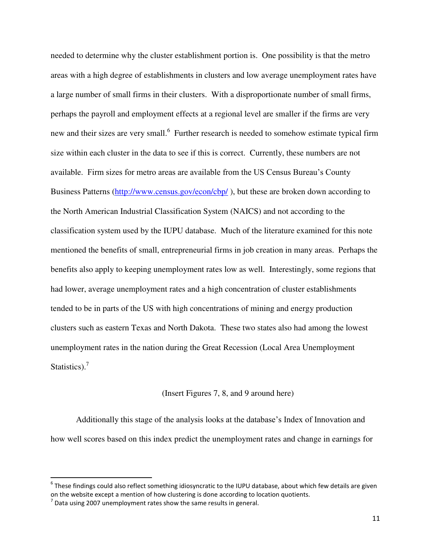needed to determine why the cluster establishment portion is. One possibility is that the metro areas with a high degree of establishments in clusters and low average unemployment rates have a large number of small firms in their clusters. With a disproportionate number of small firms, perhaps the payroll and employment effects at a regional level are smaller if the firms are very new and their sizes are very small.<sup>6</sup> Further research is needed to somehow estimate typical firm size within each cluster in the data to see if this is correct. Currently, these numbers are not available. Firm sizes for metro areas are available from the US Census Bureau's County Business Patterns (http://www.census.gov/econ/cbp/), but these are broken down according to the North American Industrial Classification System (NAICS) and not according to the classification system used by the IUPU database. Much of the literature examined for this note mentioned the benefits of small, entrepreneurial firms in job creation in many areas. Perhaps the benefits also apply to keeping unemployment rates low as well. Interestingly, some regions that had lower, average unemployment rates and a high concentration of cluster establishments tended to be in parts of the US with high concentrations of mining and energy production clusters such as eastern Texas and North Dakota. These two states also had among the lowest unemployment rates in the nation during the Great Recession (Local Area Unemployment Statistics).<sup>7</sup>

#### (Insert Figures 7, 8, and 9 around here)

Additionally this stage of the analysis looks at the database's Index of Innovation and how well scores based on this index predict the unemployment rates and change in earnings for

 $^6$  These findings could also reflect something idiosyncratic to the IUPU database, about which few details are given on the website except a mention of how clustering is done according to location quotients.

 $<sup>7</sup>$  Data using 2007 unemployment rates show the same results in general.</sup>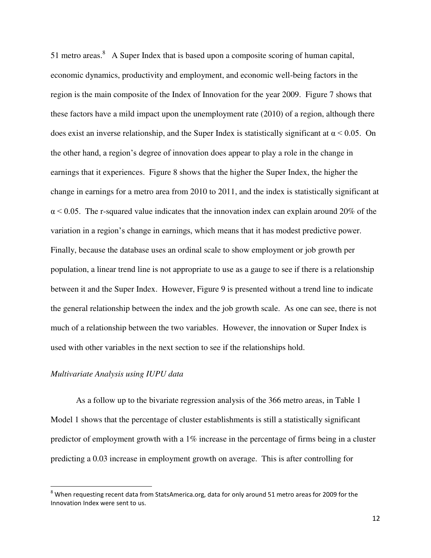51 metro areas. $8$  A Super Index that is based upon a composite scoring of human capital, economic dynamics, productivity and employment, and economic well-being factors in the region is the main composite of the Index of Innovation for the year 2009. Figure 7 shows that these factors have a mild impact upon the unemployment rate (2010) of a region, although there does exist an inverse relationship, and the Super Index is statistically significant at  $\alpha$  < 0.05. On the other hand, a region's degree of innovation does appear to play a role in the change in earnings that it experiences. Figure 8 shows that the higher the Super Index, the higher the change in earnings for a metro area from 2010 to 2011, and the index is statistically significant at  $\alpha$  < 0.05. The r-squared value indicates that the innovation index can explain around 20% of the variation in a region's change in earnings, which means that it has modest predictive power. Finally, because the database uses an ordinal scale to show employment or job growth per population, a linear trend line is not appropriate to use as a gauge to see if there is a relationship between it and the Super Index. However, Figure 9 is presented without a trend line to indicate the general relationship between the index and the job growth scale. As one can see, there is not much of a relationship between the two variables. However, the innovation or Super Index is used with other variables in the next section to see if the relationships hold.

#### *Multivariate Analysis using IUPU data*

 $\overline{\phantom{0}}$ 

 As a follow up to the bivariate regression analysis of the 366 metro areas, in Table 1 Model 1 shows that the percentage of cluster establishments is still a statistically significant predictor of employment growth with a 1% increase in the percentage of firms being in a cluster predicting a 0.03 increase in employment growth on average. This is after controlling for

 $^8$  When requesting recent data from StatsAmerica.org, data for only around 51 metro areas for 2009 for the Innovation Index were sent to us.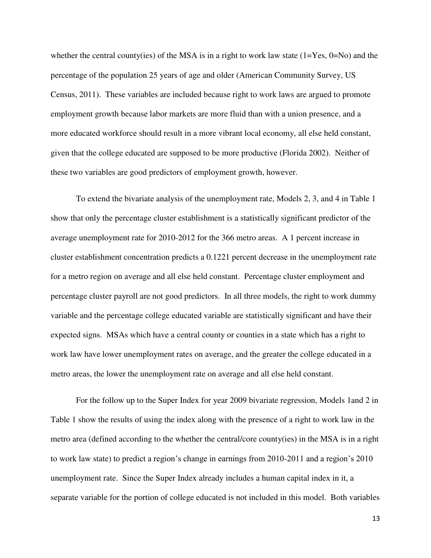whether the central county(ies) of the MSA is in a right to work law state  $(1=Yes, 0=No)$  and the percentage of the population 25 years of age and older (American Community Survey, US Census, 2011). These variables are included because right to work laws are argued to promote employment growth because labor markets are more fluid than with a union presence, and a more educated workforce should result in a more vibrant local economy, all else held constant, given that the college educated are supposed to be more productive (Florida 2002). Neither of these two variables are good predictors of employment growth, however.

 To extend the bivariate analysis of the unemployment rate, Models 2, 3, and 4 in Table 1 show that only the percentage cluster establishment is a statistically significant predictor of the average unemployment rate for 2010-2012 for the 366 metro areas. A 1 percent increase in cluster establishment concentration predicts a 0.1221 percent decrease in the unemployment rate for a metro region on average and all else held constant. Percentage cluster employment and percentage cluster payroll are not good predictors. In all three models, the right to work dummy variable and the percentage college educated variable are statistically significant and have their expected signs. MSAs which have a central county or counties in a state which has a right to work law have lower unemployment rates on average, and the greater the college educated in a metro areas, the lower the unemployment rate on average and all else held constant.

 For the follow up to the Super Index for year 2009 bivariate regression, Models 1and 2 in Table 1 show the results of using the index along with the presence of a right to work law in the metro area (defined according to the whether the central/core county(ies) in the MSA is in a right to work law state) to predict a region's change in earnings from 2010-2011 and a region's 2010 unemployment rate. Since the Super Index already includes a human capital index in it, a separate variable for the portion of college educated is not included in this model. Both variables

13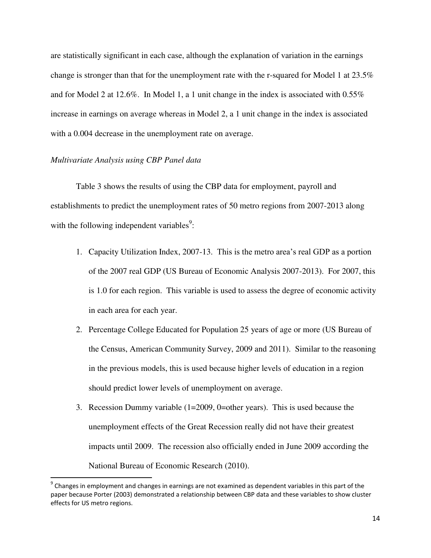are statistically significant in each case, although the explanation of variation in the earnings change is stronger than that for the unemployment rate with the r-squared for Model 1 at 23.5% and for Model 2 at 12.6%. In Model 1, a 1 unit change in the index is associated with 0.55% increase in earnings on average whereas in Model 2, a 1 unit change in the index is associated with a 0.004 decrease in the unemployment rate on average.

#### *Multivariate Analysis using CBP Panel data*

l

 Table 3 shows the results of using the CBP data for employment, payroll and establishments to predict the unemployment rates of 50 metro regions from 2007-2013 along with the following independent variables<sup>9</sup>:

- 1. Capacity Utilization Index, 2007-13. This is the metro area's real GDP as a portion of the 2007 real GDP (US Bureau of Economic Analysis 2007-2013). For 2007, this is 1.0 for each region. This variable is used to assess the degree of economic activity in each area for each year.
- 2. Percentage College Educated for Population 25 years of age or more (US Bureau of the Census, American Community Survey, 2009 and 2011). Similar to the reasoning in the previous models, this is used because higher levels of education in a region should predict lower levels of unemployment on average.
- 3. Recession Dummy variable (1=2009, 0=other years). This is used because the unemployment effects of the Great Recession really did not have their greatest impacts until 2009. The recession also officially ended in June 2009 according the National Bureau of Economic Research (2010).

 $9$  Changes in employment and changes in earnings are not examined as dependent variables in this part of the paper because Porter (2003) demonstrated a relationship between CBP data and these variables to show cluster effects for US metro regions.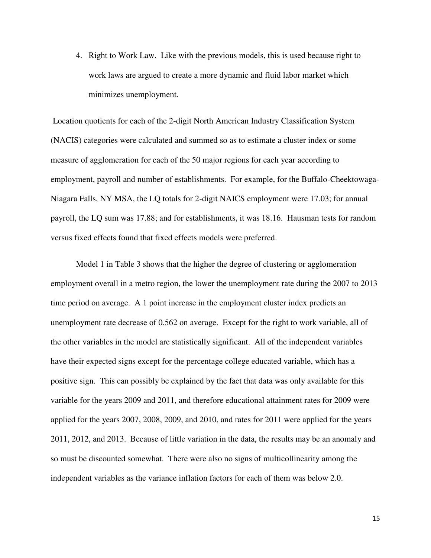4. Right to Work Law. Like with the previous models, this is used because right to work laws are argued to create a more dynamic and fluid labor market which minimizes unemployment.

 Location quotients for each of the 2-digit North American Industry Classification System (NACIS) categories were calculated and summed so as to estimate a cluster index or some measure of agglomeration for each of the 50 major regions for each year according to employment, payroll and number of establishments. For example, for the Buffalo-Cheektowaga-Niagara Falls, NY MSA, the LQ totals for 2-digit NAICS employment were 17.03; for annual payroll, the LQ sum was 17.88; and for establishments, it was 18.16. Hausman tests for random versus fixed effects found that fixed effects models were preferred.

 Model 1 in Table 3 shows that the higher the degree of clustering or agglomeration employment overall in a metro region, the lower the unemployment rate during the 2007 to 2013 time period on average. A 1 point increase in the employment cluster index predicts an unemployment rate decrease of 0.562 on average. Except for the right to work variable, all of the other variables in the model are statistically significant. All of the independent variables have their expected signs except for the percentage college educated variable, which has a positive sign. This can possibly be explained by the fact that data was only available for this variable for the years 2009 and 2011, and therefore educational attainment rates for 2009 were applied for the years 2007, 2008, 2009, and 2010, and rates for 2011 were applied for the years 2011, 2012, and 2013. Because of little variation in the data, the results may be an anomaly and so must be discounted somewhat. There were also no signs of multicollinearity among the independent variables as the variance inflation factors for each of them was below 2.0.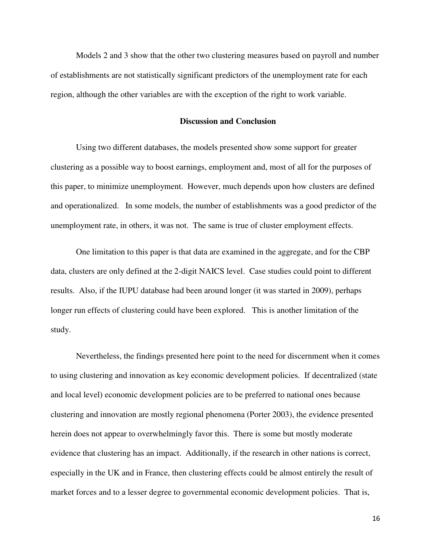Models 2 and 3 show that the other two clustering measures based on payroll and number of establishments are not statistically significant predictors of the unemployment rate for each region, although the other variables are with the exception of the right to work variable.

#### **Discussion and Conclusion**

Using two different databases, the models presented show some support for greater clustering as a possible way to boost earnings, employment and, most of all for the purposes of this paper, to minimize unemployment. However, much depends upon how clusters are defined and operationalized. In some models, the number of establishments was a good predictor of the unemployment rate, in others, it was not. The same is true of cluster employment effects.

One limitation to this paper is that data are examined in the aggregate, and for the CBP data, clusters are only defined at the 2-digit NAICS level. Case studies could point to different results. Also, if the IUPU database had been around longer (it was started in 2009), perhaps longer run effects of clustering could have been explored. This is another limitation of the study.

Nevertheless, the findings presented here point to the need for discernment when it comes to using clustering and innovation as key economic development policies. If decentralized (state and local level) economic development policies are to be preferred to national ones because clustering and innovation are mostly regional phenomena (Porter 2003), the evidence presented herein does not appear to overwhelmingly favor this. There is some but mostly moderate evidence that clustering has an impact. Additionally, if the research in other nations is correct, especially in the UK and in France, then clustering effects could be almost entirely the result of market forces and to a lesser degree to governmental economic development policies. That is,

16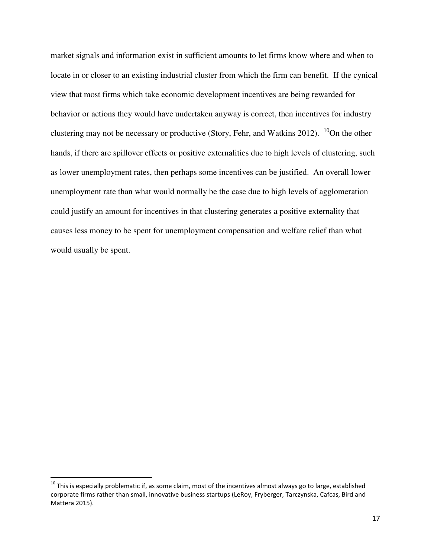market signals and information exist in sufficient amounts to let firms know where and when to locate in or closer to an existing industrial cluster from which the firm can benefit. If the cynical view that most firms which take economic development incentives are being rewarded for behavior or actions they would have undertaken anyway is correct, then incentives for industry clustering may not be necessary or productive (Story, Fehr, and Watkins 2012).  $^{10}$ On the other hands, if there are spillover effects or positive externalities due to high levels of clustering, such as lower unemployment rates, then perhaps some incentives can be justified. An overall lower unemployment rate than what would normally be the case due to high levels of agglomeration could justify an amount for incentives in that clustering generates a positive externality that causes less money to be spent for unemployment compensation and welfare relief than what would usually be spent.

 $10$  This is especially problematic if, as some claim, most of the incentives almost always go to large, established corporate firms rather than small, innovative business startups (LeRoy, Fryberger, Tarczynska, Cafcas, Bird and Mattera 2015).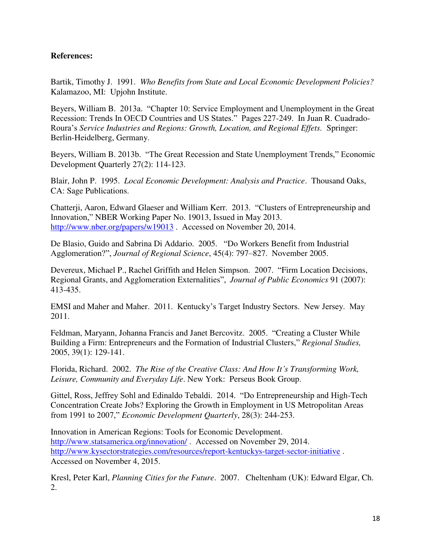## **References:**

Bartik, Timothy J. 1991. *Who Benefits from State and Local Economic Development Policies?*  Kalamazoo, MI: Upjohn Institute.

Beyers, William B. 2013a. "Chapter 10: Service Employment and Unemployment in the Great Recession: Trends In OECD Countries and US States." Pages 227-249. In Juan R. Cuadrado-Roura's *Service Industries and Regions: Growth, Location, and Regional Effets.* Springer: Berlin-Heidelberg, Germany.

Beyers, William B. 2013b. "The Great Recession and State Unemployment Trends," Economic Development Quarterly 27(2): 114-123.

Blair, John P. 1995. *Local Economic Development: Analysis and Practice*. Thousand Oaks, CA: Sage Publications.

Chatterji, Aaron, Edward Glaeser and William Kerr. 2013. "Clusters of Entrepreneurship and Innovation," NBER Working Paper No. 19013, Issued in May 2013. <http://www.nber.org/papers/w19013>. Accessed on November 20, 2014.

De Blasio, Guido and Sabrina Di Addario. 2005. "Do Workers Benefit from Industrial Agglomeration?", *Journal of Regional Science*, 45(4): 797–827. November 2005.

Devereux, Michael P., Rachel Griffith and Helen Simpson. 2007. "Firm Location Decisions, Regional Grants, and Agglomeration Externalities", *Journal of Public Economics* 91 (2007): 413-435.

EMSI and Maher and Maher. 2011. Kentucky's Target Industry Sectors. New Jersey. May 2011.

Feldman, Maryann, Johanna Francis and Janet Bercovitz. 2005. "Creating a Cluster While Building a Firm: Entrepreneurs and the Formation of Industrial Clusters," *Regional Studies,*  2005, 39(1): 129-141.

Florida, Richard. 2002. *The Rise of the Creative Class: And How It's Transforming Work, Leisure, Community and Everyday Life*. New York: Perseus Book Group.

Gittel, Ross, Jeffrey Sohl and Edinaldo Tebaldi. 2014. "Do Entrepreneurship and High-Tech Concentration Create Jobs? Exploring the Growth in Employment in US Metropolitan Areas from 1991 to 2007," *Economic Development Quarterly*, 28(3): 244-253.

Innovation in American Regions: Tools for Economic Development. http://www.statsamerica.org/innovation/. Accessed on November 29, 2014. <http://www.kysectorstrategies.com/resources/report-kentuckys-target-sector-initiative>. Accessed on November 4, 2015.

Kresl, Peter Karl, *Planning Cities for the Future*. 2007. Cheltenham (UK): Edward Elgar, Ch. 2.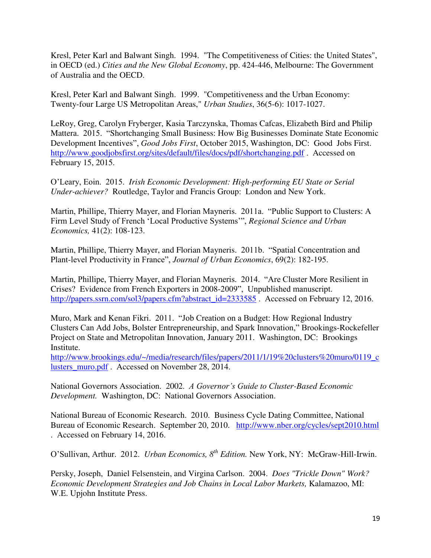Kresl, Peter Karl and Balwant Singh. 1994. "The Competitiveness of Cities: the United States", in OECD (ed.) *Cities and the New Global Economy*, pp. 424-446, Melbourne: The Government of Australia and the OECD.

Kresl, Peter Karl and Balwant Singh. 1999. "Competitiveness and the Urban Economy: Twenty-four Large US Metropolitan Areas," *Urban Studies*, 36(5-6): 1017-1027.

LeRoy, Greg, Carolyn Fryberger, Kasia Tarczynska, Thomas Cafcas, Elizabeth Bird and Philip Mattera. 2015. "Shortchanging Small Business: How Big Businesses Dominate State Economic Development Incentives", *Good Jobs First*, October 2015, Washington, DC: Good Jobs First. <http://www.goodjobsfirst.org/sites/default/files/docs/pdf/shortchanging.pdf>. Accessed on February 15, 2015.

O'Leary, Eoin. 2015. *Irish Economic Development: High-performing EU State or Serial Under-achiever?* Routledge, Taylor and Francis Group: London and New York.

Martin, Phillipe, Thierry Mayer, and Florian Mayneris. 2011a. "Public Support to Clusters: A Firm Level Study of French 'Local Productive Systems'", *Regional Science and Urban Economics,* 41(2): 108-123.

Martin, Phillipe, Thierry Mayer, and Florian Mayneris. 2011b. "Spatial Concentration and Plant-level Productivity in France", *Journal of Urban Economics*, 69(2): 182-195.

Martin, Phillipe, Thierry Mayer, and Florian Mayneris. 2014. "Are Cluster More Resilient in Crises? Evidence from French Exporters in 2008-2009", Unpublished manuscript. [http://papers.ssrn.com/sol3/papers.cfm?abstract\\_id=2333585](http://papers.ssrn.com/sol3/papers.cfm?abstract_id=2333585) . Accessed on February 12, 2016.

Muro, Mark and Kenan Fikri. 2011. "Job Creation on a Budget: How Regional Industry Clusters Can Add Jobs, Bolster Entrepreneurship, and Spark Innovation," Brookings-Rockefeller Project on State and Metropolitan Innovation, January 2011. Washington, DC: Brookings Institute.

[http://www.brookings.edu/~/media/research/files/papers/2011/1/19%20clusters%20muro/0119\\_c](http://www.brookings.edu/~/media/research/files/papers/2011/1/19%20clusters%20muro/0119_clusters_muro.pdf) [lusters\\_muro.pdf](http://www.brookings.edu/~/media/research/files/papers/2011/1/19%20clusters%20muro/0119_clusters_muro.pdf) . Accessed on November 28, 2014.

National Governors Association. 2002. *A Governor's Guide to Cluster-Based Economic Development.* Washington, DC: National Governors Association.

National Bureau of Economic Research. 2010. Business Cycle Dating Committee, National Bureau of Economic Research. September 20, 2010. <http://www.nber.org/cycles/sept2010.html> . Accessed on February 14, 2016.

O'Sullivan, Arthur. 2012. *Urban Economics, 8th Edition.* New York, NY: McGraw-Hill-Irwin.

Persky, Joseph, Daniel Felsenstein, and Virgina Carlson. 2004. *Does "Trickle Down" Work? Economic Development Strategies and Job Chains in Local Labor Markets,* Kalamazoo, MI: W.E. Upjohn Institute Press.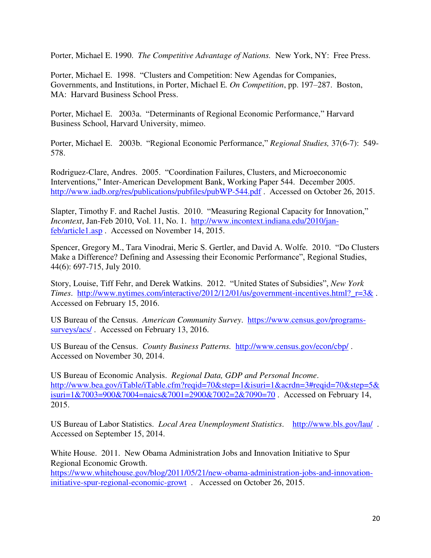Porter, Michael E. 1990. *The Competitive Advantage of Nations.* New York, NY: Free Press.

Porter, Michael E. 1998. "Clusters and Competition: New Agendas for Companies, Governments, and Institutions, in Porter, Michael E. *On Competition*, pp. 197–287. Boston, MA: Harvard Business School Press.

Porter, Michael E. 2003a. "Determinants of Regional Economic Performance," Harvard Business School, Harvard University, mimeo.

Porter, Michael E. 2003b. "Regional Economic Performance," *Regional Studies,* 37(6-7): 549- 578.

Rodriguez-Clare, Andres. 2005. "Coordination Failures, Clusters, and Microeconomic Interventions," Inter-American Development Bank, Working Paper 544. December 2005. http://www.iadb.org/res/publications/pubfiles/pubWP-544.pdf. Accessed on October 26, 2015.

Slapter, Timothy F. and Rachel Justis. 2010. "Measuring Regional Capacity for Innovation," *Incontext*, Jan-Feb 2010, Vol. 11, No. 1. [http://www.incontext.indiana.edu/2010/jan](http://www.incontext.indiana.edu/2010/jan-feb/article1.asp)[feb/article1.asp](http://www.incontext.indiana.edu/2010/jan-feb/article1.asp) . Accessed on November 14, 2015.

Spencer, Gregory M., Tara Vinodrai, Meric S. Gertler, and David A. Wolfe. 2010. "Do Clusters Make a Difference? Defining and Assessing their Economic Performance", Regional Studies, 44(6): 697-715, July 2010.

Story, Louise, Tiff Fehr, and Derek Watkins. 2012. "United States of Subsidies", *New York Times*. [http://www.nytimes.com/interactive/2012/12/01/us/government-incentives.html?\\_r=3&](http://www.nytimes.com/interactive/2012/12/01/us/government-incentives.html?_r=3&) . Accessed on February 15, 2016.

US Bureau of the Census. *American Community Survey*. [https://www.census.gov/programs](https://www.census.gov/programs-surveys/acs/)[surveys/acs/](https://www.census.gov/programs-surveys/acs/) . Accessed on February 13, 2016.

US Bureau of the Census. *County Business Patterns.* <http://www.census.gov/econ/cbp/>. Accessed on November 30, 2014.

US Bureau of Economic Analysis. *Regional Data, GDP and Personal Income*. [http://www.bea.gov/iTable/iTable.cfm?reqid=70&step=1&isuri=1&acrdn=3#reqid=70&step=5&](http://www.bea.gov/iTable/iTable.cfm?reqid=70&step=1&isuri=1&acrdn=3#reqid=70&step=5&isuri=1&7003=900&7004=naics&7001=2900&7002=2&7090=70) [isuri=1&7003=900&7004=naics&7001=2900&7002=2&7090=70](http://www.bea.gov/iTable/iTable.cfm?reqid=70&step=1&isuri=1&acrdn=3#reqid=70&step=5&isuri=1&7003=900&7004=naics&7001=2900&7002=2&7090=70) . Accessed on February 14, 2015.

US Bureau of Labor Statistics. *Local Area Unemployment Statistics*. <http://www.bls.gov/lau/>. Accessed on September 15, 2014.

White House. 2011. New Obama Administration Jobs and Innovation Initiative to Spur Regional Economic Growth. [https://www.whitehouse.gov/blog/2011/05/21/new-obama-administration-jobs-and-innovation](https://www.whitehouse.gov/blog/2011/05/21/new-obama-administration-jobs-and-innovation-initiative-spur-regional-economic-growt)[initiative-spur-regional-economic-growt](https://www.whitehouse.gov/blog/2011/05/21/new-obama-administration-jobs-and-innovation-initiative-spur-regional-economic-growt) . Accessed on October 26, 2015.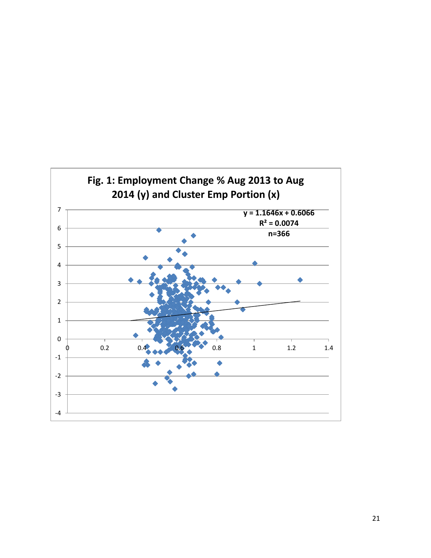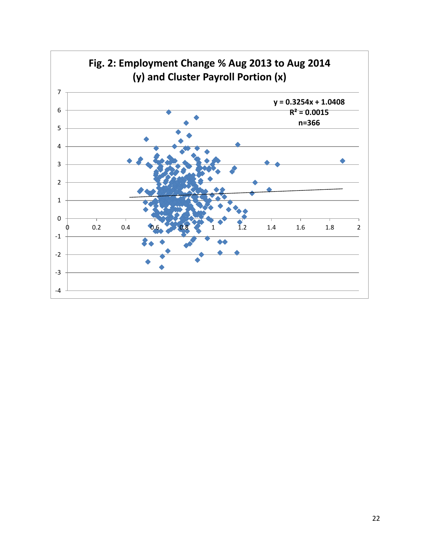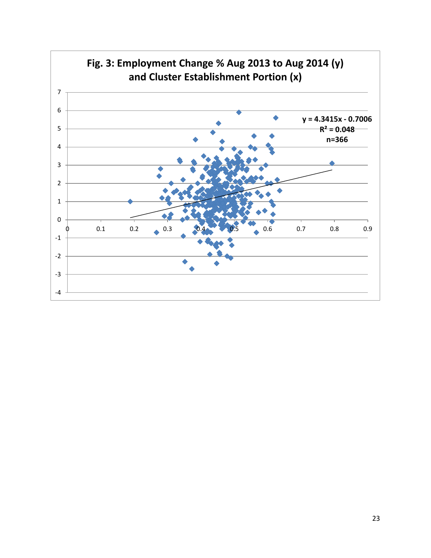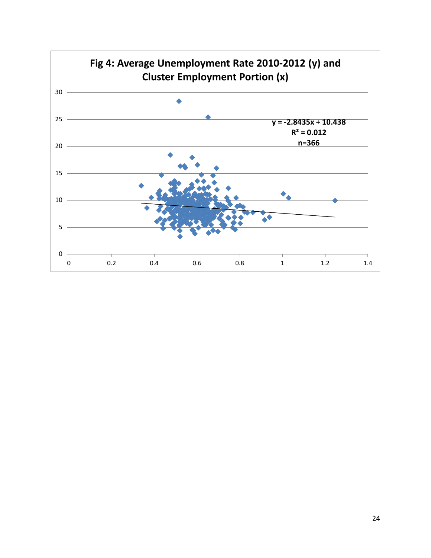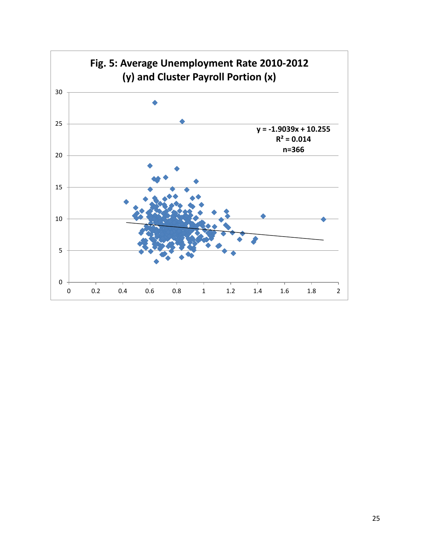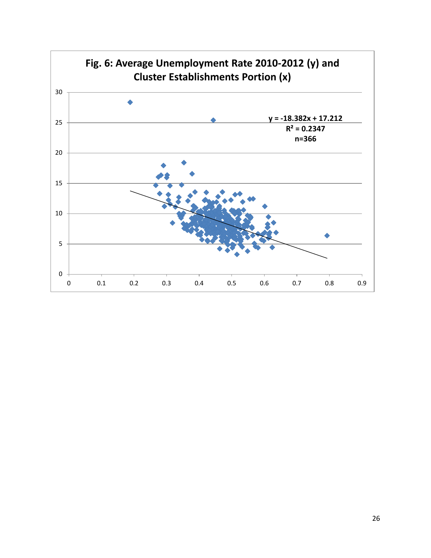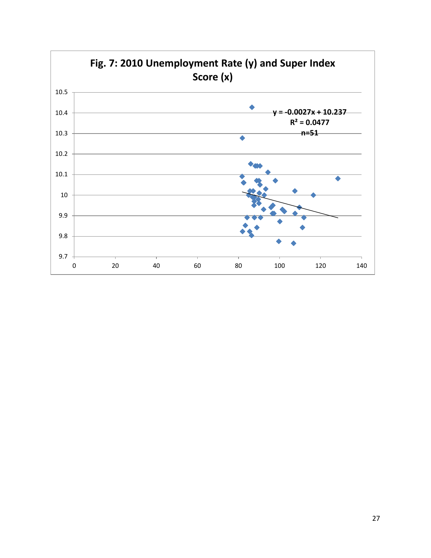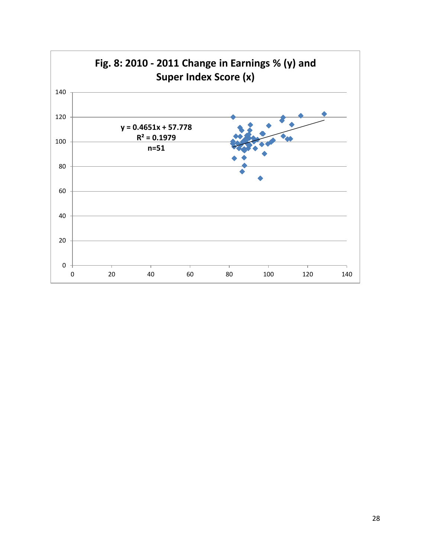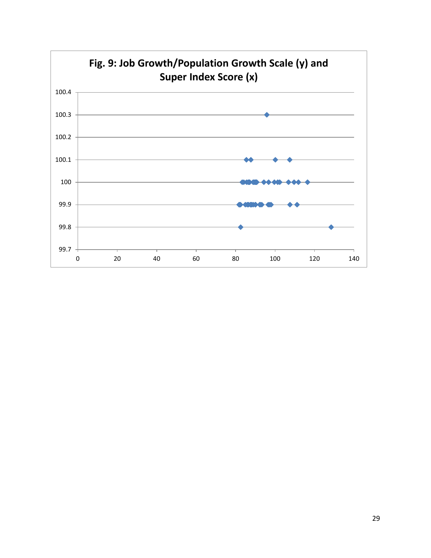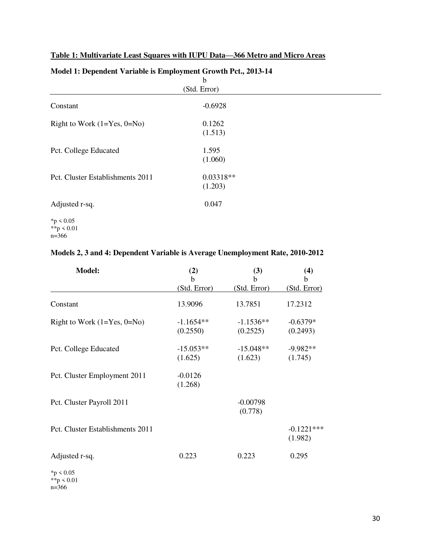## **Table 1: Multivariate Least Squares with IUPU Data—366 Metro and Micro Areas**

|                                  | $\mathbf b$            |  |
|----------------------------------|------------------------|--|
|                                  | (Std. Error)           |  |
| Constant                         | $-0.6928$              |  |
| Right to Work $(1=Yes, 0=No)$    | 0.1262<br>(1.513)      |  |
| Pct. College Educated            | 1.595<br>(1.060)       |  |
| Pct. Cluster Establishments 2011 | $0.03318**$<br>(1.203) |  |
| Adjusted r-sq.                   | 0.047                  |  |
| $*$ p < 0.05                     |                        |  |

## **Model 1: Dependent Variable is Employment Growth Pct., 2013-14**

## **Models 2, 3 and 4: Dependent Variable is Average Unemployment Rate, 2010-2012**

| <b>Model:</b>                    | (2)<br>b                | (3)<br>b                | (4)<br>b                |
|----------------------------------|-------------------------|-------------------------|-------------------------|
|                                  | (Std. Error)            | (Std. Error)            | (Std. Error)            |
| Constant                         | 13.9096                 | 13.7851                 | 17.2312                 |
| Right to Work $(1=Yes, 0=No)$    | $-1.1654**$<br>(0.2550) | $-1.1536**$<br>(0.2525) | $-0.6379*$<br>(0.2493)  |
| Pct. College Educated            | $-15.053**$<br>(1.625)  | $-15.048**$<br>(1.623)  | $-9.982**$<br>(1.745)   |
| Pct. Cluster Employment 2011     | $-0.0126$<br>(1.268)    |                         |                         |
| Pct. Cluster Payroll 2011        |                         | $-0.00798$<br>(0.778)   |                         |
| Pct. Cluster Establishments 2011 |                         |                         | $-0.1221***$<br>(1.982) |
| Adjusted r-sq.                   | 0.223                   | 0.223                   | 0.295                   |
| $*_p$ < 0.05                     |                         |                         |                         |

\*\*p < 0.01 n=366

\*\*p < 0.01  $n=366$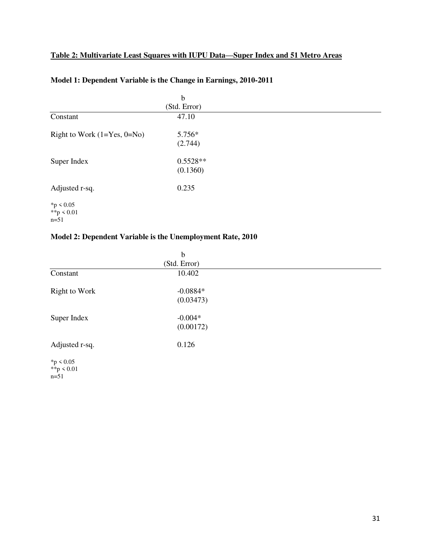## **Table 2: Multivariate Least Squares with IUPU Data—Super Index and 51 Metro Areas**

|                                        | $\mathbf b$<br>(Std. Error) |  |  |
|----------------------------------------|-----------------------------|--|--|
| Constant                               | 47.10                       |  |  |
| Right to Work $(1=Yes, 0=No)$          | 5.756*<br>(2.744)           |  |  |
| Super Index                            | $0.5528**$<br>(0.1360)      |  |  |
| Adjusted r-sq.                         | 0.235                       |  |  |
| $*$ p < 0.05<br>**p < $0.01$<br>$n=51$ |                             |  |  |

## **Model 1: Dependent Variable is the Change in Earnings, 2010-2011**

## **Model 2: Dependent Variable is the Unemployment Rate, 2010**

|                                         | $\mathbf b$             |  |
|-----------------------------------------|-------------------------|--|
|                                         | (Std. Error)            |  |
| Constant                                | 10.402                  |  |
| Right to Work                           | $-0.0884*$<br>(0.03473) |  |
| Super Index                             | $-0.004*$<br>(0.00172)  |  |
| Adjusted r-sq.                          | 0.126                   |  |
| $*p < 0.05$<br>**p < $0.01$<br>$n = 51$ |                         |  |